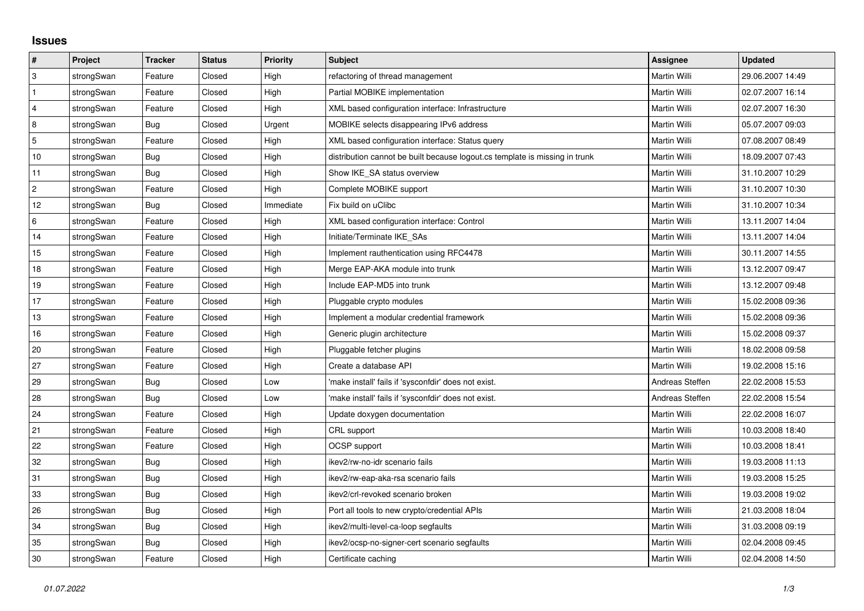## **Issues**

| #              | Project    | <b>Tracker</b> | <b>Status</b> | <b>Priority</b> | Subject                                                                     | <b>Assignee</b> | <b>Updated</b>   |
|----------------|------------|----------------|---------------|-----------------|-----------------------------------------------------------------------------|-----------------|------------------|
| 3              | strongSwan | Feature        | Closed        | High            | refactoring of thread management                                            | Martin Willi    | 29.06.2007 14:49 |
| $\mathbf{1}$   | strongSwan | Feature        | Closed        | High            | Partial MOBIKE implementation                                               | Martin Willi    | 02.07.2007 16:14 |
| $\overline{4}$ | strongSwan | Feature        | Closed        | High            | XML based configuration interface: Infrastructure                           | Martin Willi    | 02.07.2007 16:30 |
| 8              | strongSwan | Bug            | Closed        | Urgent          | MOBIKE selects disappearing IPv6 address                                    | Martin Willi    | 05.07.2007 09:03 |
| $\overline{5}$ | strongSwan | Feature        | Closed        | High            | XML based configuration interface: Status query                             | Martin Willi    | 07.08.2007 08:49 |
| 10             | strongSwan | Bug            | Closed        | High            | distribution cannot be built because logout.cs template is missing in trunk | Martin Willi    | 18.09.2007 07:43 |
| 11             | strongSwan | Bug            | Closed        | High            | Show IKE SA status overview                                                 | Martin Willi    | 31.10.2007 10:29 |
| $\overline{2}$ | strongSwan | Feature        | Closed        | High            | Complete MOBIKE support                                                     | Martin Willi    | 31.10.2007 10:30 |
| 12             | strongSwan | Bug            | Closed        | Immediate       | Fix build on uClibc                                                         | Martin Willi    | 31.10.2007 10:34 |
| 6              | strongSwan | Feature        | Closed        | High            | XML based configuration interface: Control                                  | Martin Willi    | 13.11.2007 14:04 |
| 14             | strongSwan | Feature        | Closed        | High            | Initiate/Terminate IKE_SAs                                                  | Martin Willi    | 13.11.2007 14:04 |
| 15             | strongSwan | Feature        | Closed        | High            | Implement rauthentication using RFC4478                                     | Martin Willi    | 30.11.2007 14:55 |
| 18             | strongSwan | Feature        | Closed        | High            | Merge EAP-AKA module into trunk                                             | Martin Willi    | 13.12.2007 09:47 |
| 19             | strongSwan | Feature        | Closed        | High            | Include EAP-MD5 into trunk                                                  | Martin Willi    | 13.12.2007 09:48 |
| 17             | strongSwan | Feature        | Closed        | High            | Pluggable crypto modules                                                    | Martin Willi    | 15.02.2008 09:36 |
| 13             | strongSwan | Feature        | Closed        | High            | Implement a modular credential framework                                    | Martin Willi    | 15.02.2008 09:36 |
| 16             | strongSwan | Feature        | Closed        | High            | Generic plugin architecture                                                 | Martin Willi    | 15.02.2008 09:37 |
| 20             | strongSwan | Feature        | Closed        | High            | Pluggable fetcher plugins                                                   | Martin Willi    | 18.02.2008 09:58 |
| 27             | strongSwan | Feature        | Closed        | High            | Create a database API                                                       | Martin Willi    | 19.02.2008 15:16 |
| 29             | strongSwan | Bug            | Closed        | Low             | make install' fails if 'sysconfdir' does not exist.                         | Andreas Steffen | 22.02.2008 15:53 |
| 28             | strongSwan | Bug            | Closed        | Low             | 'make install' fails if 'sysconfdir' does not exist.                        | Andreas Steffen | 22.02.2008 15:54 |
| 24             | strongSwan | Feature        | Closed        | High            | Update doxygen documentation                                                | Martin Willi    | 22.02.2008 16:07 |
| 21             | strongSwan | Feature        | Closed        | High            | CRL support                                                                 | Martin Willi    | 10.03.2008 18:40 |
| 22             | strongSwan | Feature        | Closed        | High            | <b>OCSP</b> support                                                         | Martin Willi    | 10.03.2008 18:41 |
| 32             | strongSwan | Bug            | Closed        | High            | ikev2/rw-no-idr scenario fails                                              | Martin Willi    | 19.03.2008 11:13 |
| 31             | strongSwan | Bug            | Closed        | High            | ikev2/rw-eap-aka-rsa scenario fails                                         | Martin Willi    | 19.03.2008 15:25 |
| 33             | strongSwan | Bug            | Closed        | High            | ikev2/crl-revoked scenario broken                                           | Martin Willi    | 19.03.2008 19:02 |
| 26             | strongSwan | <b>Bug</b>     | Closed        | High            | Port all tools to new crypto/credential APIs                                | Martin Willi    | 21.03.2008 18:04 |
| 34             | strongSwan | Bug            | Closed        | High            | ikev2/multi-level-ca-loop segfaults                                         | Martin Willi    | 31.03.2008 09:19 |
| 35             | strongSwan | Bug            | Closed        | High            | ikev2/ocsp-no-signer-cert scenario segfaults                                | Martin Willi    | 02.04.2008 09:45 |
| 30             | strongSwan | Feature        | Closed        | High            | Certificate caching                                                         | Martin Willi    | 02.04.2008 14:50 |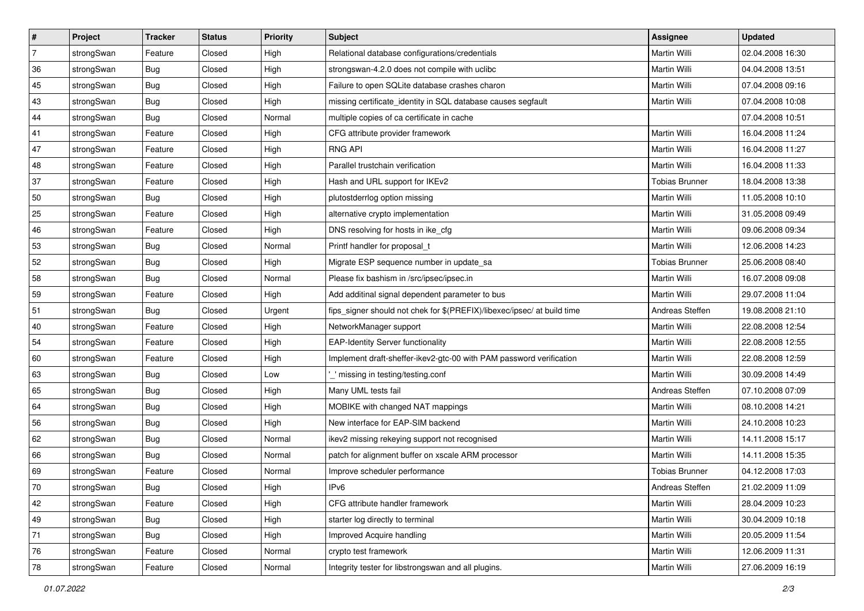| ∦              | Project    | <b>Tracker</b> | <b>Status</b> | <b>Priority</b> | <b>Subject</b>                                                          | Assignee              | <b>Updated</b>   |
|----------------|------------|----------------|---------------|-----------------|-------------------------------------------------------------------------|-----------------------|------------------|
| $\overline{7}$ | strongSwan | Feature        | Closed        | High            | Relational database configurations/credentials                          | Martin Willi          | 02.04.2008 16:30 |
| 36             | strongSwan | <b>Bug</b>     | Closed        | High            | strongswan-4.2.0 does not compile with uclibe                           | Martin Willi          | 04.04.2008 13:51 |
| 45             | strongSwan | Bug            | Closed        | High            | Failure to open SQLite database crashes charon                          | Martin Willi          | 07.04.2008 09:16 |
| 43             | strongSwan | <b>Bug</b>     | Closed        | High            | missing certificate_identity in SQL database causes segfault            | Martin Willi          | 07.04.2008 10:08 |
| 44             | strongSwan | Bug            | Closed        | Normal          | multiple copies of ca certificate in cache                              |                       | 07.04.2008 10:51 |
| 41             | strongSwan | Feature        | Closed        | High            | CFG attribute provider framework                                        | Martin Willi          | 16.04.2008 11:24 |
| 47             | strongSwan | Feature        | Closed        | High            | <b>RNG API</b>                                                          | Martin Willi          | 16.04.2008 11:27 |
| 48             | strongSwan | Feature        | Closed        | High            | Parallel trustchain verification                                        | Martin Willi          | 16.04.2008 11:33 |
| 37             | strongSwan | Feature        | Closed        | High            | Hash and URL support for IKEv2                                          | <b>Tobias Brunner</b> | 18.04.2008 13:38 |
| 50             | strongSwan | <b>Bug</b>     | Closed        | High            | plutostderrlog option missing                                           | Martin Willi          | 11.05.2008 10:10 |
| 25             | strongSwan | Feature        | Closed        | High            | alternative crypto implementation                                       | Martin Willi          | 31.05.2008 09:49 |
| 46             | strongSwan | Feature        | Closed        | High            | DNS resolving for hosts in ike_cfg                                      | Martin Willi          | 09.06.2008 09:34 |
| 53             | strongSwan | Bug            | Closed        | Normal          | Printf handler for proposal_t                                           | <b>Martin Willi</b>   | 12.06.2008 14:23 |
| 52             | strongSwan | Bug            | Closed        | High            | Migrate ESP sequence number in update_sa                                | <b>Tobias Brunner</b> | 25.06.2008 08:40 |
| 58             | strongSwan | Bug            | Closed        | Normal          | Please fix bashism in /src/ipsec/ipsec.in                               | Martin Willi          | 16.07.2008 09:08 |
| 59             | strongSwan | Feature        | Closed        | High            | Add additinal signal dependent parameter to bus                         | Martin Willi          | 29.07.2008 11:04 |
| 51             | strongSwan | Bug            | Closed        | Urgent          | fips_signer should not chek for \$(PREFIX)/libexec/ipsec/ at build time | Andreas Steffen       | 19.08.2008 21:10 |
| 40             | strongSwan | Feature        | Closed        | High            | NetworkManager support                                                  | Martin Willi          | 22.08.2008 12:54 |
| 54             | strongSwan | Feature        | Closed        | High            | <b>EAP-Identity Server functionality</b>                                | Martin Willi          | 22.08.2008 12:55 |
| 60             | strongSwan | Feature        | Closed        | High            | Implement draft-sheffer-ikev2-gtc-00 with PAM password verification     | Martin Willi          | 22.08.2008 12:59 |
| 63             | strongSwan | Bug            | Closed        | Low             | _' missing in testing/testing.conf                                      | Martin Willi          | 30.09.2008 14:49 |
| 65             | strongSwan | Bug            | Closed        | High            | Many UML tests fail                                                     | Andreas Steffen       | 07.10.2008 07:09 |
| 64             | strongSwan | Bug            | Closed        | High            | MOBIKE with changed NAT mappings                                        | <b>Martin Willi</b>   | 08.10.2008 14:21 |
| 56             | strongSwan | <b>Bug</b>     | Closed        | High            | New interface for EAP-SIM backend                                       | Martin Willi          | 24.10.2008 10:23 |
| 62             | strongSwan | <b>Bug</b>     | Closed        | Normal          | ikev2 missing rekeying support not recognised                           | Martin Willi          | 14.11.2008 15:17 |
| 66             | strongSwan | Bug            | Closed        | Normal          | patch for alignment buffer on xscale ARM processor                      | <b>Martin Willi</b>   | 14.11.2008 15:35 |
| 69             | strongSwan | Feature        | Closed        | Normal          | Improve scheduler performance                                           | Tobias Brunner        | 04.12.2008 17:03 |
| 70             | strongSwan | <b>Bug</b>     | Closed        | High            | IPv6                                                                    | Andreas Steffen       | 21.02.2009 11:09 |
| 42             | strongSwan | Feature        | Closed        | High            | CFG attribute handler framework                                         | Martin Willi          | 28.04.2009 10:23 |
| 49             | strongSwan | Bug            | Closed        | High            | starter log directly to terminal                                        | Martin Willi          | 30.04.2009 10:18 |
| 71             | strongSwan | Bug            | Closed        | High            | Improved Acquire handling                                               | Martin Willi          | 20.05.2009 11:54 |
| 76             | strongSwan | Feature        | Closed        | Normal          | crypto test framework                                                   | Martin Willi          | 12.06.2009 11:31 |
| 78             | strongSwan | Feature        | Closed        | Normal          | Integrity tester for libstrongswan and all plugins.                     | Martin Willi          | 27.06.2009 16:19 |